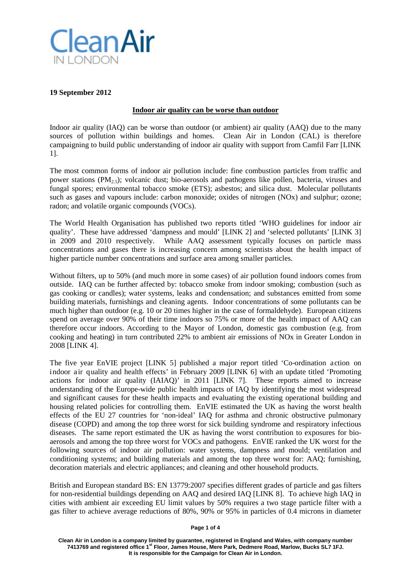

#### **19 September 2012**

#### **Indoor air quality can be worse than outdoor**

Indoor air quality (IAQ) can be worse than outdoor (or ambient) air quality (AAQ) due to the many sources of pollution within buildings and homes. Clean Air in London (CAL) is therefore campaigning to build public understanding of indoor air quality with support from Camfil Farr [LINK 1].

The most common forms of indoor air pollution include: fine combustion particles from traffic and power stations (PM<sub>2.5</sub>); volcanic dust; bio-aerosols and pathogens like pollen, bacteria, viruses and fungal spores; environmental tobacco smoke (ETS); asbestos; and silica dust. Molecular pollutants such as gases and vapours include: carbon monoxide; oxides of nitrogen (NOx) and sulphur; ozone; radon; and volatile organic compounds (VOCs).

The World Health Organisation has published two reports titled 'WHO guidelines for indoor air quality'. These have addressed 'dampness and mould' [LINK 2] and 'selected pollutants' [LINK 3] in 2009 and 2010 respectively. While AAQ assessment typically focuses on particle mass concentrations and gases there is increasing concern among scientists about the health impact of higher particle number concentrations and surface area among smaller particles.

Without filters, up to 50% (and much more in some cases) of air pollution found indoors comes from outside. IAQ can be further affected by: tobacco smoke from indoor smoking; combustion (such as gas cooking or candles); water systems, leaks and condensation; and substances emitted from some building materials, furnishings and cleaning agents. Indoor concentrations of some pollutants can be much higher than outdoor (e.g. 10 or 20 times higher in the case of formaldehyde). European citizens spend on average over 90% of their time indoors so 75% or more of the health impact of AAQ can therefore occur indoors. According to the Mayor of London, domestic gas combustion (e.g. from cooking and heating) in turn contributed 22% to ambient air emissions of NOx in Greater London in 2008 [LINK 4].

The five year EnVIE project [LINK 5] published a major report titled 'Co-ordination action on indoor air quality and health effects' in February 2009 [LINK 6] with an update titled 'Promoting actions for indoor air quality (IAIAQ)' in 2011 [LINK 7]. These reports aimed to increase understanding of the Europe-wide public health impacts of IAQ by identifying the most widespread and significant causes for these health impacts and evaluating the existing operational building and housing related policies for controlling them. EnVIE estimated the UK as having the worst health effects of the EU 27 countries for 'non-ideal' IAQ for asthma and chronic obstructive pulmonary disease (COPD) and among the top three worst for sick building syndrome and respiratory infectious diseases. The same report estimated the UK as having the worst contribution to exposures for bioaerosols and among the top three worst for VOCs and pathogens. EnVIE ranked the UK worst for the following sources of indoor air pollution: water systems, dampness and mould; ventilation and conditioning systems; and building materials and among the top three worst for: AAQ; furnishing, decoration materials and electric appliances; and cleaning and other household products.

British and European standard BS: EN 13779:2007 specifies different grades of particle and gas filters for non-residential buildings depending on AAQ and desired IAQ [LINK 8]. To achieve high IAQ in cities with ambient air exceeding EU limit values by 50% requires a two stage particle filter with a gas filter to achieve average reductions of 80%, 90% or 95% in particles of 0.4 microns in diameter

**Page 1 of 4**

**Clean Air in London is a company limited by guarantee, registered in England and Wales, with company number 7413769 and registered office 1st Floor, James House, Mere Park, Dedmere Road, Marlow, Bucks SL7 1FJ. It is responsible for the Campaign for Clean Air in London.**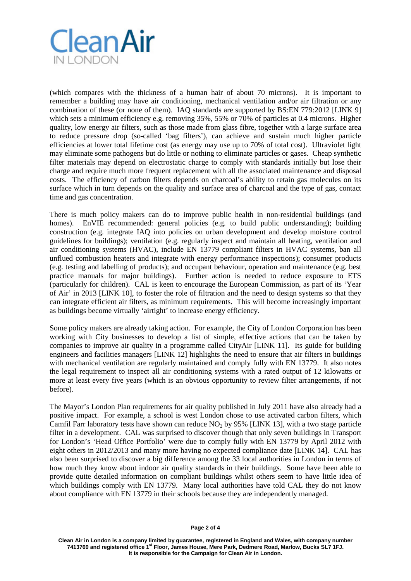

(which compares with the thickness of a human hair of about 70 microns). It is important to remember a building may have air conditioning, mechanical ventilation and/or air filtration or any combination of these (or none of them). IAQ standards are supported by BS:EN 779:2012 [LINK 9] which sets a minimum efficiency e.g. removing 35%, 55% or 70% of particles at 0.4 microns. Higher quality, low energy air filters, such as those made from glass fibre, together with a large surface area to reduce pressure drop (so-called 'bag filters'), can achieve and sustain much higher particle efficiencies at lower total lifetime cost (as energy may use up to 70% of total cost). Ultraviolet light may eliminate some pathogens but do little or nothing to eliminate particles or gases. Cheap synthetic filter materials may depend on electrostatic charge to comply with standards initially but lose their charge and require much more frequent replacement with all the associated maintenance and disposal costs. The efficiency of carbon filters depends on charcoal's ability to retain gas molecules on its surface which in turn depends on the quality and surface area of charcoal and the type of gas, contact time and gas concentration.

There is much policy makers can do to improve public health in non-residential buildings (and homes). EnVIE recommended: general policies (e.g. to build public understanding); building construction (e.g. integrate IAQ into policies on urban development and develop moisture control guidelines for buildings); ventilation (e.g. regularly inspect and maintain all heating, ventilation and air conditioning systems (HVAC), include EN 13779 compliant filters in HVAC systems, ban all unflued combustion heaters and integrate with energy performance inspections); consumer products (e.g. testing and labelling of products); and occupant behaviour, operation and maintenance (e.g. best practice manuals for major buildings). Further action is needed to reduce exposure to ETS (particularly for children). CAL is keen to encourage the European Commission, as part of its 'Year of Air' in 2013 [LINK 10], to foster the role of filtration and the need to design systems so that they can integrate efficient air filters, as minimum requirements. This will become increasingly important as buildings become virtually 'airtight' to increase energy efficiency.

Some policy makers are already taking action. For example, the City of London Corporation has been working with City businesses to develop a list of simple, effective actions that can be taken by companies to improve air quality in a programme called CityAir [LINK 11]. Its guide for building engineers and facilities managers [LINK 12] highlights the need to ensure that air filters in buildings with mechanical ventilation are regularly maintained and comply fully with EN 13779. It also notes the legal requirement to inspect all air conditioning systems with a rated output of 12 kilowatts or more at least every five years (which is an obvious opportunity to review filter arrangements, if not before).

The Mayor's London Plan requirements for air quality published in July 2011 have also already had a positive impact. For example, a school is west London chose to use activated carbon filters, which Camfil Farr laboratory tests have shown can reduce  $NO<sub>2</sub>$  by 95% [LINK 13], with a two stage particle filter in a development. CAL was surprised to discover though that only seven buildings in Transport for London's 'Head Office Portfolio' were due to comply fully with EN 13779 by April 2012 with eight others in 2012/2013 and many more having no expected compliance date [LINK 14]. CAL has also been surprised to discover a big difference among the 33 local authorities in London in terms of how much they know about indoor air quality standards in their buildings. Some have been able to provide quite detailed information on compliant buildings whilst others seem to have little idea of which buildings comply with EN 13779. Many local authorities have told CAL they do not know about compliance with EN 13779 in their schools because they are independently managed.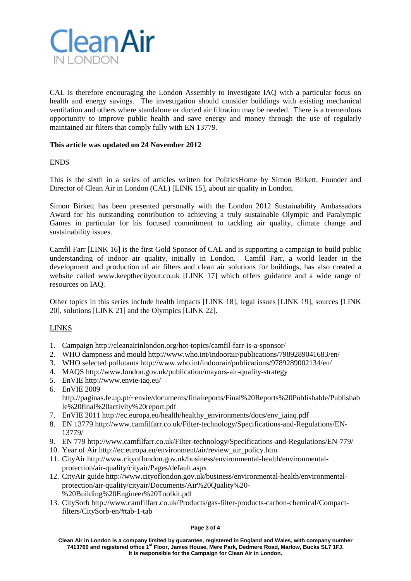

CAL is therefore encouraging the London Assembly to investigate IAQ with a particular focus on health and energy savings. The investigation should consider buildings with existing mechanical ventilation and others where standalone or ducted air filtration may be needed. There is a tremendous opportunity to improve public health and save energy and money through the use of regularly maintained air filters that comply fully with EN 13779.

## **This article was updated on 24 November 2012**

## ENDS

This is the sixth in a series of articles written for PoliticsHome by Simon Birkett, Founder and Director of Clean Air in London (CAL) [LINK 15], about air quality in London.

Simon Birkett has been presented personally with the London 2012 Sustainability Ambassadors Award for his outstanding contribution to achieving a truly sustainable Olympic and Paralympic Games in particular for his focused commitment to tackling air quality, climate change and sustainability issues.

Camfil Farr [LINK 16] is the first Gold Sponsor of CAL and is supporting a campaign to build public understanding of indoor air quality, initially in London. Camfil Farr, a world leader in the development and production of air filters and clean air solutions for buildings, has also created a website called www.keepthecityout.co.uk [LINK 17] which offers guidance and a wide range of resources on IAQ.

Other topics in this series include [health impacts](http://cleanairinlondon.org/health/guide-to-health-impacts-invisible-air-pollution-is-the-biggest-public-health-failing-or-cover-up-for-decades/) [LINK 18], [legal issues](http://cleanairinlondon.org/legal/guide-to-legal-issues-uk-is-cheating-on-air-quality-laws-and-misleading-the-european-commission/) [LINK 19], [sources](http://cleanairinlondon.org/sources/guide-to-sources-london-has-the-highest-levels-of-nitrogen-dioxide-of-any-capital-city-in-europe/) [LINK 20], [solutions](http://cleanairinlondon.org/solutions/guide-to-solutions-mayor-johnson-caught-taking-backward-steps-again) [LINK 21] and the Olympics [LINK 22].

# LINKS

- 1. Campaign<http://cleanairinlondon.org/hot-topics/camfil-farr-is-a-sponsor/>
- 2. WHO dampness and moul[d http://www.who.int/indoorair/publications/7989289041683/en/](http://www.who.int/indoorair/publications/7989289041683/en/)
- 3. WHO selected pollutants<http://www.who.int/indoorair/publications/9789289002134/en/>
- 4. MAQS<http://www.london.gov.uk/publication/mayors-air-quality-strategy>
- 5. EnVIE<http://www.envie-iaq.eu/>
- 6. EnVIE 2009 [http://paginas.fe.up.pt/~envie/documents/finalreports/Final%20Reports%20Publishable/Publishab](http://paginas.fe.up.pt/~envie/documents/finalreports/Final%20Reports%20Publishable/Publishable%20final%20activity%20report.pdf) [le%20final%20activity%20report.pdf](http://paginas.fe.up.pt/~envie/documents/finalreports/Final%20Reports%20Publishable/Publishable%20final%20activity%20report.pdf)
- 7. EnVIE 2011 [http://ec.europa.eu/health/healthy\\_environments/docs/env\\_iaiaq.pdf](http://ec.europa.eu/health/healthy_environments/docs/env_iaiaq.pdf)
- 8. EN 13779 [http://www.camfilfarr.co.uk/Filter-technology/Specifications-and-Regulations/EN-](http://www.camfilfarr.co.uk/Filter-technology/Specifications-and-Regulations/EN-13779/)[13779/](http://www.camfilfarr.co.uk/Filter-technology/Specifications-and-Regulations/EN-13779/)
- 9. EN 779<http://www.camfilfarr.co.uk/Filter-technology/Specifications-and-Regulations/EN-779/>
- 10. Year of Air [http://ec.europa.eu/environment/air/review\\_air\\_policy.htm](http://ec.europa.eu/environment/air/review_air_policy.htm)
- 11. CityAir [http://www.cityoflondon.gov.uk/business/environmental-health/environmental](http://www.cityoflondon.gov.uk/business/environmental-health/environmental-protection/air-quality/cityair/Pages/default.aspx)[protection/air-quality/cityair/Pages/default.aspx](http://www.cityoflondon.gov.uk/business/environmental-health/environmental-protection/air-quality/cityair/Pages/default.aspx)
- 12. CityAir guide [http://www.cityoflondon.gov.uk/business/environmental-health/environmental](http://www.cityoflondon.gov.uk/business/environmental-health/environmental-protection/air-quality/cityair/Documents/Air%20Quality%20-%20Building%20Engineer%20Toolkit.pdf)[protection/air-quality/cityair/Documents/Air%20Quality%20-](http://www.cityoflondon.gov.uk/business/environmental-health/environmental-protection/air-quality/cityair/Documents/Air%20Quality%20-%20Building%20Engineer%20Toolkit.pdf) [%20Building%20Engineer%20Toolkit.pdf](http://www.cityoflondon.gov.uk/business/environmental-health/environmental-protection/air-quality/cityair/Documents/Air%20Quality%20-%20Building%20Engineer%20Toolkit.pdf)
- 13. CitySorb [http://www.camfilfarr.co.uk/Products/gas-filter-products-carbon-chemical/Compact](http://www.camfilfarr.co.uk/Products/gas-filter-products-carbon-chemical/Compact-filters/CitySorb-en/#tab-1-tab)[filters/CitySorb-en/#tab-1-tab](http://www.camfilfarr.co.uk/Products/gas-filter-products-carbon-chemical/Compact-filters/CitySorb-en/#tab-1-tab)

#### **Page 3 of 4**

**Clean Air in London is a company limited by guarantee, registered in England and Wales, with company number 7413769 and registered office 1st Floor, James House, Mere Park, Dedmere Road, Marlow, Bucks SL7 1FJ. It is responsible for the Campaign for Clean Air in London.**